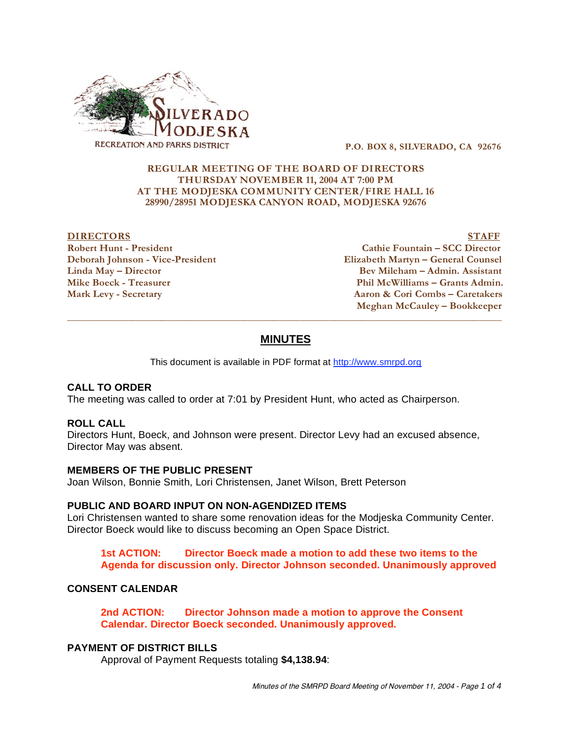

 **P.O. BOX 8, SILVERADO, CA 92676** 

## **REGULAR MEETING OF THE BOARD OF DIRECTORS THURSDAY NOVEMBER 11, 2004 AT 7:00 PM AT THE MODJESKA COMMUNITY CENTER/FIRE HALL 16 28990/28951 MODJESKA CANYON ROAD, MODJESKA 92676**

**DIRECTORS** STAFF **Robert Hunt - President Cathie Fountain – SCC Director Deborah Johnson - Vice-President Elizabeth Martyn – General Counsel Linda May – Director Bev Mileham – Admin. Assistant Mike Boeck - Treasurer Phil McWilliams – Grants Admin. Mark Levy - Secretary Aaron & Cori Combs – Caretakers Meghan McCauley – Bookkeeper** 

# **MINUTES**

 $\overline{a}$  , and the state of the state of the state of the state of the state of the state of the state of the state of the state of the state of the state of the state of the state of the state of the state of the state o

This document is available in PDF format at http://www.smrpd.org

## **CALL TO ORDER**

The meeting was called to order at 7:01 by President Hunt, who acted as Chairperson.

#### **ROLL CALL**

Directors Hunt, Boeck, and Johnson were present. Director Levy had an excused absence, Director May was absent.

#### **MEMBERS OF THE PUBLIC PRESENT**

Joan Wilson, Bonnie Smith, Lori Christensen, Janet Wilson, Brett Peterson

#### **PUBLIC AND BOARD INPUT ON NON-AGENDIZED ITEMS**

Lori Christensen wanted to share some renovation ideas for the Modjeska Community Center. Director Boeck would like to discuss becoming an Open Space District.

**1st ACTION: Director Boeck made a motion to add these two items to the Agenda for discussion only. Director Johnson seconded. Unanimously approved** 

### **CONSENT CALENDAR**

**2nd ACTION: Director Johnson made a motion to approve the Consent Calendar. Director Boeck seconded. Unanimously approved.** 

## **PAYMENT OF DISTRICT BILLS**

Approval of Payment Requests totaling **\$4,138.94**: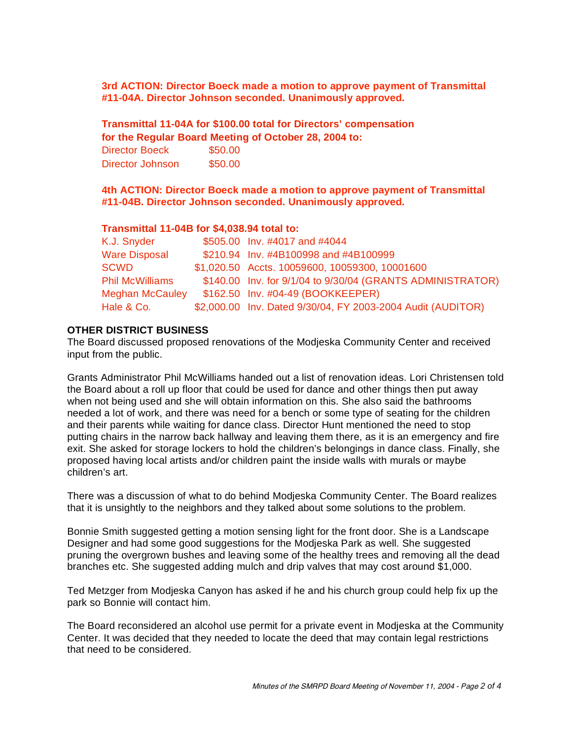**3rd ACTION: Director Boeck made a motion to approve payment of Transmittal #11-04A. Director Johnson seconded. Unanimously approved.**

**Transmittal 11-04A for \$100.00 total for Directors' compensation** 

**for the Regular Board Meeting of October 28, 2004 to:** 

Director Boeck \$50.00 Director Johnson \$50.00

**4th ACTION: Director Boeck made a motion to approve payment of Transmittal #11-04B. Director Johnson seconded. Unanimously approved.**

## **Transmittal 11-04B for \$4,038.94 total to:**

| K.J. Snyder            | \$505.00 Inv. #4017 and #4044                               |
|------------------------|-------------------------------------------------------------|
| <b>Ware Disposal</b>   | \$210.94 Inv. #4B100998 and #4B100999                       |
|                        |                                                             |
| SCWD                   | \$1,020.50 Accts. 10059600, 10059300, 10001600              |
| <b>Phil McWilliams</b> | \$140.00 Inv. for 9/1/04 to 9/30/04 (GRANTS ADMINISTRATOR)  |
| <b>Meghan McCauley</b> | \$162.50 Inv. #04-49 (BOOKKEEPER)                           |
| Hale & Co.             | \$2,000.00 Inv. Dated 9/30/04, FY 2003-2004 Audit (AUDITOR) |

# **OTHER DISTRICT BUSINESS**

The Board discussed proposed renovations of the Modjeska Community Center and received input from the public.

Grants Administrator Phil McWilliams handed out a list of renovation ideas. Lori Christensen told the Board about a roll up floor that could be used for dance and other things then put away when not being used and she will obtain information on this. She also said the bathrooms needed a lot of work, and there was need for a bench or some type of seating for the children and their parents while waiting for dance class. Director Hunt mentioned the need to stop putting chairs in the narrow back hallway and leaving them there, as it is an emergency and fire exit. She asked for storage lockers to hold the children's belongings in dance class. Finally, she proposed having local artists and/or children paint the inside walls with murals or maybe children's art.

There was a discussion of what to do behind Modjeska Community Center. The Board realizes that it is unsightly to the neighbors and they talked about some solutions to the problem.

Bonnie Smith suggested getting a motion sensing light for the front door. She is a Landscape Designer and had some good suggestions for the Modjeska Park as well. She suggested pruning the overgrown bushes and leaving some of the healthy trees and removing all the dead branches etc. She suggested adding mulch and drip valves that may cost around \$1,000.

Ted Metzger from Modjeska Canyon has asked if he and his church group could help fix up the park so Bonnie will contact him.

The Board reconsidered an alcohol use permit for a private event in Modjeska at the Community Center. It was decided that they needed to locate the deed that may contain legal restrictions that need to be considered.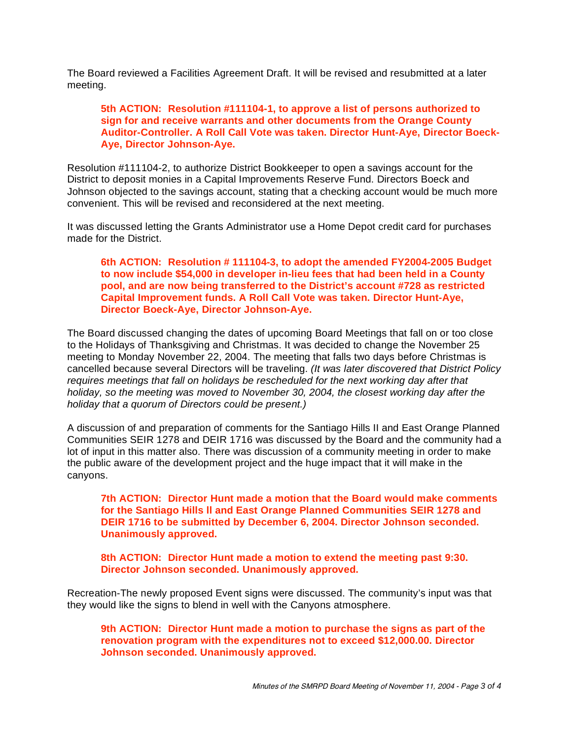The Board reviewed a Facilities Agreement Draft. It will be revised and resubmitted at a later meeting.

## **5th ACTION: Resolution #111104-1, to approve a list of persons authorized to sign for and receive warrants and other documents from the Orange County Auditor-Controller. A Roll Call Vote was taken. Director Hunt-Aye, Director Boeck-Aye, Director Johnson-Aye.**

Resolution #111104-2, to authorize District Bookkeeper to open a savings account for the District to deposit monies in a Capital Improvements Reserve Fund. Directors Boeck and Johnson objected to the savings account, stating that a checking account would be much more convenient. This will be revised and reconsidered at the next meeting.

It was discussed letting the Grants Administrator use a Home Depot credit card for purchases made for the District.

**6th ACTION: Resolution # 111104-3, to adopt the amended FY2004-2005 Budget to now include \$54,000 in developer in-lieu fees that had been held in a County pool, and are now being transferred to the District's account #728 as restricted Capital Improvement funds. A Roll Call Vote was taken. Director Hunt-Aye, Director Boeck-Aye, Director Johnson-Aye.** 

The Board discussed changing the dates of upcoming Board Meetings that fall on or too close to the Holidays of Thanksgiving and Christmas. It was decided to change the November 25 meeting to Monday November 22, 2004. The meeting that falls two days before Christmas is cancelled because several Directors will be traveling. *(It was later discovered that District Policy requires meetings that fall on holidays be rescheduled for the next working day after that holiday, so the meeting was moved to November 30, 2004, the closest working day after the holiday that a quorum of Directors could be present.)* 

A discussion of and preparation of comments for the Santiago Hills II and East Orange Planned Communities SEIR 1278 and DEIR 1716 was discussed by the Board and the community had a lot of input in this matter also. There was discussion of a community meeting in order to make the public aware of the development project and the huge impact that it will make in the canyons.

**7th ACTION: Director Hunt made a motion that the Board would make comments for the Santiago Hills ll and East Orange Planned Communities SEIR 1278 and DEIR 1716 to be submitted by December 6, 2004. Director Johnson seconded. Unanimously approved.** 

**8th ACTION: Director Hunt made a motion to extend the meeting past 9:30. Director Johnson seconded. Unanimously approved.** 

Recreation-The newly proposed Event signs were discussed. The community's input was that they would like the signs to blend in well with the Canyons atmosphere.

**9th ACTION: Director Hunt made a motion to purchase the signs as part of the renovation program with the expenditures not to exceed \$12,000.00. Director Johnson seconded. Unanimously approved.**